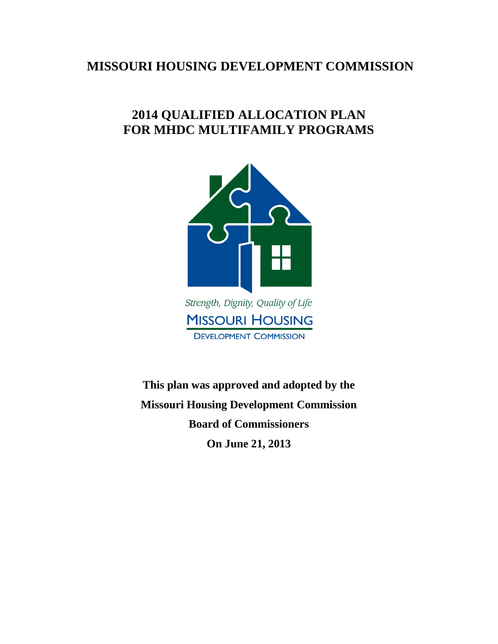# **MISSOURI HOUSING DEVELOPMENT COMMISSION**

# **2014 QUALIFIED ALLOCATION PLAN FOR MHDC MULTIFAMILY PROGRAMS**



**MISSOURI HOUSING DEVELOPMENT COMMISSION** 

**This plan was approved and adopted by the Missouri Housing Development Commission Board of Commissioners On June 21, 2013**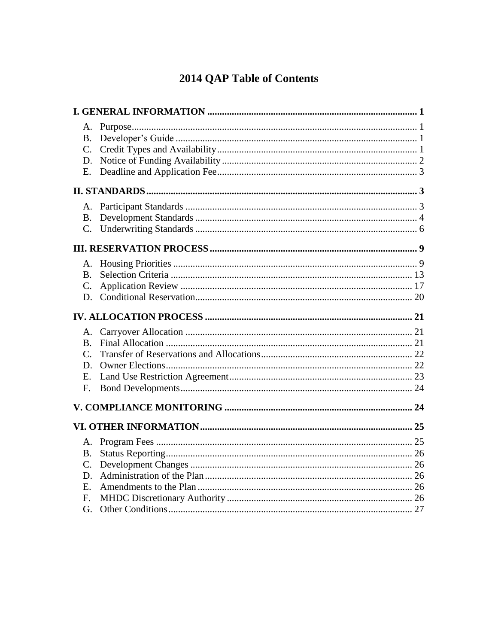# 2014 QAP Table of Contents

| <b>B.</b>       |  |  |
|-----------------|--|--|
| $C_{\cdot}$     |  |  |
| D.              |  |  |
| E.              |  |  |
|                 |  |  |
| Α.              |  |  |
| <b>B.</b>       |  |  |
| $\mathcal{C}$ . |  |  |
|                 |  |  |
| A.              |  |  |
| <b>B.</b>       |  |  |
| $\mathcal{C}$ . |  |  |
| D.              |  |  |
|                 |  |  |
| А.              |  |  |
| <b>B.</b>       |  |  |
| $C_{\cdot}$     |  |  |
| D.              |  |  |
| E.              |  |  |
| F.              |  |  |
|                 |  |  |
|                 |  |  |
|                 |  |  |
| A.              |  |  |
| <b>B.</b>       |  |  |
| $C$ .           |  |  |
| D.              |  |  |
| E.              |  |  |
| F.<br>G.        |  |  |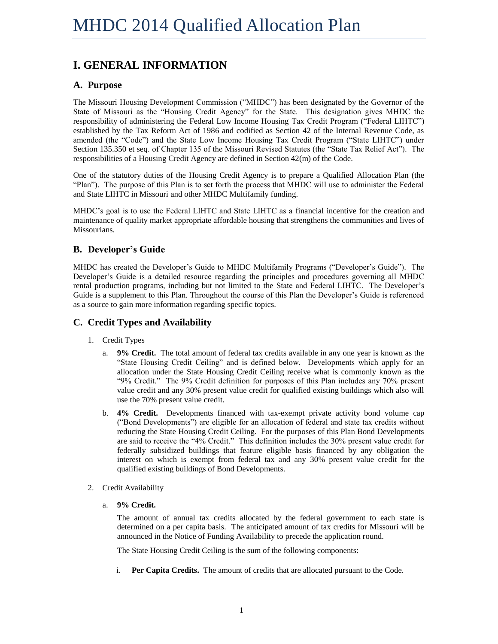# <span id="page-2-0"></span>**I. GENERAL INFORMATION**

## <span id="page-2-1"></span>**A. Purpose**

The Missouri Housing Development Commission ("MHDC") has been designated by the Governor of the State of Missouri as the "Housing Credit Agency" for the State. This designation gives MHDC the responsibility of administering the Federal Low Income Housing Tax Credit Program ("Federal LIHTC") established by the Tax Reform Act of 1986 and codified as Section 42 of the Internal Revenue Code, as amended (the "Code") and the State Low Income Housing Tax Credit Program ("State LIHTC") under Section 135.350 et seq. of Chapter 135 of the Missouri Revised Statutes (the "State Tax Relief Act"). The responsibilities of a Housing Credit Agency are defined in Section 42(m) of the Code.

One of the statutory duties of the Housing Credit Agency is to prepare a Qualified Allocation Plan (the "Plan"). The purpose of this Plan is to set forth the process that MHDC will use to administer the Federal and State LIHTC in Missouri and other MHDC Multifamily funding.

MHDC's goal is to use the Federal LIHTC and State LIHTC as a financial incentive for the creation and maintenance of quality market appropriate affordable housing that strengthens the communities and lives of Missourians.

# <span id="page-2-2"></span>**B. Developer's Guide**

MHDC has created the Developer's Guide to MHDC Multifamily Programs ("Developer's Guide"). The Developer's Guide is a detailed resource regarding the principles and procedures governing all MHDC rental production programs, including but not limited to the State and Federal LIHTC. The Developer's Guide is a supplement to this Plan. Throughout the course of this Plan the Developer's Guide is referenced as a source to gain more information regarding specific topics.

## <span id="page-2-3"></span>**C. Credit Types and Availability**

- 1. Credit Types
	- a. **9% Credit.** The total amount of federal tax credits available in any one year is known as the "State Housing Credit Ceiling" and is defined below. Developments which apply for an allocation under the State Housing Credit Ceiling receive what is commonly known as the "9% Credit." The 9% Credit definition for purposes of this Plan includes any 70% present value credit and any 30% present value credit for qualified existing buildings which also will use the 70% present value credit.
	- b. **4% Credit.** Developments financed with tax-exempt private activity bond volume cap ("Bond Developments") are eligible for an allocation of federal and state tax credits without reducing the State Housing Credit Ceiling. For the purposes of this Plan Bond Developments are said to receive the "4% Credit." This definition includes the 30% present value credit for federally subsidized buildings that feature eligible basis financed by any obligation the interest on which is exempt from federal tax and any 30% present value credit for the qualified existing buildings of Bond Developments.
- 2. Credit Availability
	- a. **9% Credit.**

The amount of annual tax credits allocated by the federal government to each state is determined on a per capita basis. The anticipated amount of tax credits for Missouri will be announced in the Notice of Funding Availability to precede the application round.

The State Housing Credit Ceiling is the sum of the following components:

i. **Per Capita Credits.** The amount of credits that are allocated pursuant to the Code.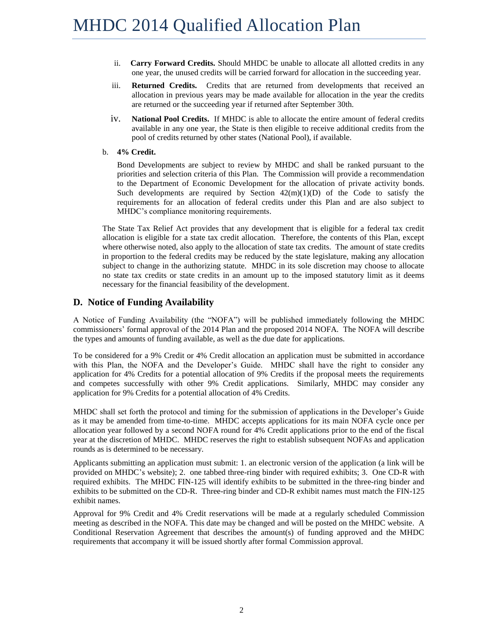- ii. **Carry Forward Credits.** Should MHDC be unable to allocate all allotted credits in any one year, the unused credits will be carried forward for allocation in the succeeding year.
- iii. **Returned Credits.** Credits that are returned from developments that received an allocation in previous years may be made available for allocation in the year the credits are returned or the succeeding year if returned after September 30th.
- iv. **National Pool Credits.** If MHDC is able to allocate the entire amount of federal credits available in any one year, the State is then eligible to receive additional credits from the pool of credits returned by other states (National Pool), if available.
- b. **4% Credit.**

Bond Developments are subject to review by MHDC and shall be ranked pursuant to the priorities and selection criteria of this Plan. The Commission will provide a recommendation to the Department of Economic Development for the allocation of private activity bonds. Such developments are required by Section  $42(m)(1)(D)$  of the Code to satisfy the requirements for an allocation of federal credits under this Plan and are also subject to MHDC's compliance monitoring requirements.

The State Tax Relief Act provides that any development that is eligible for a federal tax credit allocation is eligible for a state tax credit allocation. Therefore, the contents of this Plan, except where otherwise noted, also apply to the allocation of state tax credits. The amount of state credits in proportion to the federal credits may be reduced by the state legislature, making any allocation subject to change in the authorizing statute. MHDC in its sole discretion may choose to allocate no state tax credits or state credits in an amount up to the imposed statutory limit as it deems necessary for the financial feasibility of the development.

### <span id="page-3-0"></span>**D. Notice of Funding Availability**

A Notice of Funding Availability (the "NOFA") will be published immediately following the MHDC commissioners' formal approval of the 2014 Plan and the proposed 2014 NOFA. The NOFA will describe the types and amounts of funding available, as well as the due date for applications.

To be considered for a 9% Credit or 4% Credit allocation an application must be submitted in accordance with this Plan, the NOFA and the Developer's Guide. MHDC shall have the right to consider any application for 4% Credits for a potential allocation of 9% Credits if the proposal meets the requirements and competes successfully with other 9% Credit applications. Similarly, MHDC may consider any application for 9% Credits for a potential allocation of 4% Credits.

MHDC shall set forth the protocol and timing for the submission of applications in the Developer's Guide as it may be amended from time-to-time. MHDC accepts applications for its main NOFA cycle once per allocation year followed by a second NOFA round for 4% Credit applications prior to the end of the fiscal year at the discretion of MHDC. MHDC reserves the right to establish subsequent NOFAs and application rounds as is determined to be necessary.

Applicants submitting an application must submit: 1. an electronic version of the application (a link will be provided on MHDC's website); 2. one tabbed three-ring binder with required exhibits; 3. One CD-R with required exhibits. The MHDC FIN-125 will identify exhibits to be submitted in the three-ring binder and exhibits to be submitted on the CD-R. Three-ring binder and CD-R exhibit names must match the FIN-125 exhibit names.

Approval for 9% Credit and 4% Credit reservations will be made at a regularly scheduled Commission meeting as described in the NOFA. This date may be changed and will be posted on the MHDC website. A Conditional Reservation Agreement that describes the amount(s) of funding approved and the MHDC requirements that accompany it will be issued shortly after formal Commission approval.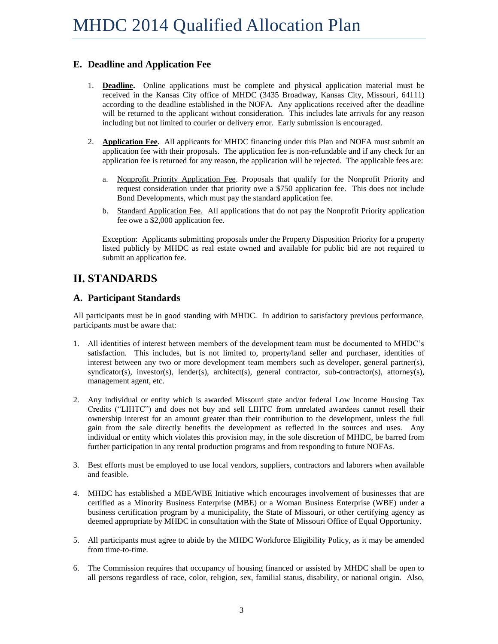# <span id="page-4-0"></span>**E. Deadline and Application Fee**

- 1. **Deadline.** Online applications must be complete and physical application material must be received in the Kansas City office of MHDC (3435 Broadway, Kansas City, Missouri, 64111) according to the deadline established in the NOFA. Any applications received after the deadline will be returned to the applicant without consideration. This includes late arrivals for any reason including but not limited to courier or delivery error. Early submission is encouraged.
- 2. **Application Fee.** All applicants for MHDC financing under this Plan and NOFA must submit an application fee with their proposals. The application fee is non-refundable and if any check for an application fee is returned for any reason, the application will be rejected. The applicable fees are:
	- a. Nonprofit Priority Application Fee. Proposals that qualify for the Nonprofit Priority and request consideration under that priority owe a \$750 application fee. This does not include Bond Developments, which must pay the standard application fee.
	- b. Standard Application Fee. All applications that do not pay the Nonprofit Priority application fee owe a \$2,000 application fee.

Exception: Applicants submitting proposals under the Property Disposition Priority for a property listed publicly by MHDC as real estate owned and available for public bid are not required to submit an application fee.

# <span id="page-4-1"></span>**II. STANDARDS**

# <span id="page-4-2"></span>**A. Participant Standards**

All participants must be in good standing with MHDC. In addition to satisfactory previous performance, participants must be aware that:

- 1. All identities of interest between members of the development team must be documented to MHDC's satisfaction. This includes, but is not limited to, property/land seller and purchaser, identities of interest between any two or more development team members such as developer, general partner(s), syndicator(s), investor(s), lender(s), architect(s), general contractor, sub-contractor(s), attorney(s), management agent, etc.
- 2. Any individual or entity which is awarded Missouri state and/or federal Low Income Housing Tax Credits ("LIHTC") and does not buy and sell LIHTC from unrelated awardees cannot resell their ownership interest for an amount greater than their contribution to the development, unless the full gain from the sale directly benefits the development as reflected in the sources and uses. Any individual or entity which violates this provision may, in the sole discretion of MHDC, be barred from further participation in any rental production programs and from responding to future NOFAs.
- 3. Best efforts must be employed to use local vendors, suppliers, contractors and laborers when available and feasible.
- 4. MHDC has established a MBE/WBE Initiative which encourages involvement of businesses that are certified as a Minority Business Enterprise (MBE) or a Woman Business Enterprise (WBE) under a business certification program by a municipality, the State of Missouri, or other certifying agency as deemed appropriate by MHDC in consultation with the State of Missouri Office of Equal Opportunity.
- 5. All participants must agree to abide by the MHDC Workforce Eligibility Policy, as it may be amended from time-to-time.
- 6. The Commission requires that occupancy of housing financed or assisted by MHDC shall be open to all persons regardless of race, color, religion, sex, familial status, disability, or national origin. Also,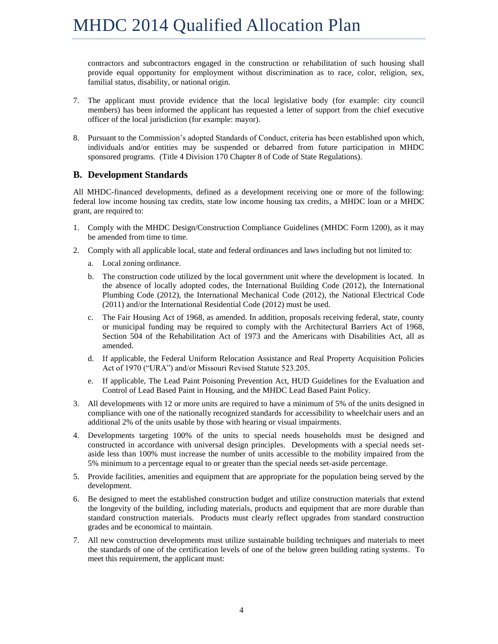contractors and subcontractors engaged in the construction or rehabilitation of such housing shall provide equal opportunity for employment without discrimination as to race, color, religion, sex, familial status, disability, or national origin.

- 7. The applicant must provide evidence that the local legislative body (for example: city council members) has been informed the applicant has requested a letter of support from the chief executive officer of the local jurisdiction (for example: mayor).
- 8. Pursuant to the Commission's adopted Standards of Conduct, criteria has been established upon which, individuals and/or entities may be suspended or debarred from future participation in MHDC sponsored programs. (Title 4 Division 170 Chapter 8 of Code of State Regulations).

### <span id="page-5-0"></span>**B. Development Standards**

All MHDC-financed developments, defined as a development receiving one or more of the following: federal low income housing tax credits, state low income housing tax credits, a MHDC loan or a MHDC grant, are required to:

- 1. Comply with the MHDC Design/Construction Compliance Guidelines (MHDC Form 1200), as it may be amended from time to time.
- 2. Comply with all applicable local, state and federal ordinances and laws including but not limited to:
	- a. Local zoning ordinance.
	- b. The construction code utilized by the local government unit where the development is located. In the absence of locally adopted codes, the International Building Code (2012), the International Plumbing Code (2012), the International Mechanical Code (2012), the National Electrical Code (2011) and/or the International Residential Code (2012) must be used.
	- c. The Fair Housing Act of 1968, as amended. In addition, proposals receiving federal, state, county or municipal funding may be required to comply with the Architectural Barriers Act of 1968, Section 504 of the Rehabilitation Act of 1973 and the Americans with Disabilities Act, all as amended.
	- d. If applicable, the Federal Uniform Relocation Assistance and Real Property Acquisition Policies Act of 1970 ("URA") and/or Missouri Revised Statute 523.205.
	- e. If applicable, The Lead Paint Poisoning Prevention Act, HUD Guidelines for the Evaluation and Control of Lead Based Paint in Housing, and the MHDC Lead Based Paint Policy.
- 3. All developments with 12 or more units are required to have a minimum of 5% of the units designed in compliance with one of the nationally recognized standards for accessibility to wheelchair users and an additional 2% of the units usable by those with hearing or visual impairments.
- 4. Developments targeting 100% of the units to special needs households must be designed and constructed in accordance with universal design principles. Developments with a special needs setaside less than 100% must increase the number of units accessible to the mobility impaired from the 5% minimum to a percentage equal to or greater than the special needs set-aside percentage.
- 5. Provide facilities, amenities and equipment that are appropriate for the population being served by the development.
- 6. Be designed to meet the established construction budget and utilize construction materials that extend the longevity of the building, including materials, products and equipment that are more durable than standard construction materials. Products must clearly reflect upgrades from standard construction grades and be economical to maintain.
- 7. All new construction developments must utilize sustainable building techniques and materials to meet the standards of one of the certification levels of one of the below green building rating systems. To meet this requirement, the applicant must: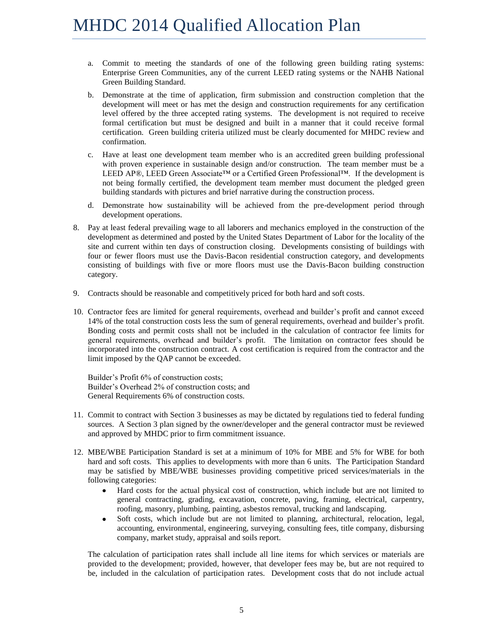- a. Commit to meeting the standards of one of the following green building rating systems: Enterprise Green Communities, any of the current LEED rating systems or the NAHB National Green Building Standard.
- b. Demonstrate at the time of application, firm submission and construction completion that the development will meet or has met the design and construction requirements for any certification level offered by the three accepted rating systems. The development is not required to receive formal certification but must be designed and built in a manner that it could receive formal certification. Green building criteria utilized must be clearly documented for MHDC review and confirmation.
- c. Have at least one development team member who is an accredited green building professional with proven experience in sustainable design and/or construction. The team member must be a LEED AP®, LEED Green Associate™ or a Certified Green Professional™. If the development is not being formally certified, the development team member must document the pledged green building standards with pictures and brief narrative during the construction process.
- d. Demonstrate how sustainability will be achieved from the pre-development period through development operations.
- 8. Pay at least federal prevailing wage to all laborers and mechanics employed in the construction of the development as determined and posted by the United States Department of Labor for the locality of the site and current within ten days of construction closing. Developments consisting of buildings with four or fewer floors must use the Davis-Bacon residential construction category, and developments consisting of buildings with five or more floors must use the Davis-Bacon building construction category.
- 9. Contracts should be reasonable and competitively priced for both hard and soft costs.
- 10. Contractor fees are limited for general requirements, overhead and builder's profit and cannot exceed 14% of the total construction costs less the sum of general requirements, overhead and builder's profit. Bonding costs and permit costs shall not be included in the calculation of contractor fee limits for general requirements, overhead and builder's profit. The limitation on contractor fees should be incorporated into the construction contract. A cost certification is required from the contractor and the limit imposed by the QAP cannot be exceeded.

Builder's Profit 6% of construction costs; Builder's Overhead 2% of construction costs; and General Requirements 6% of construction costs.

- 11. Commit to contract with Section 3 businesses as may be dictated by regulations tied to federal funding sources. A Section 3 plan signed by the owner/developer and the general contractor must be reviewed and approved by MHDC prior to firm commitment issuance.
- 12. MBE/WBE Participation Standard is set at a minimum of 10% for MBE and 5% for WBE for both hard and soft costs. This applies to developments with more than 6 units. The Participation Standard may be satisfied by MBE/WBE businesses providing competitive priced services/materials in the following categories:
	- $\bullet$ Hard costs for the actual physical cost of construction, which include but are not limited to general contracting, grading, excavation, concrete, paving, framing, electrical, carpentry, roofing, masonry, plumbing, painting, asbestos removal, trucking and landscaping.
	- $\bullet$ Soft costs, which include but are not limited to planning, architectural, relocation, legal, accounting, environmental, engineering, surveying, consulting fees, title company, disbursing company, market study, appraisal and soils report.

The calculation of participation rates shall include all line items for which services or materials are provided to the development; provided, however, that developer fees may be, but are not required to be, included in the calculation of participation rates. Development costs that do not include actual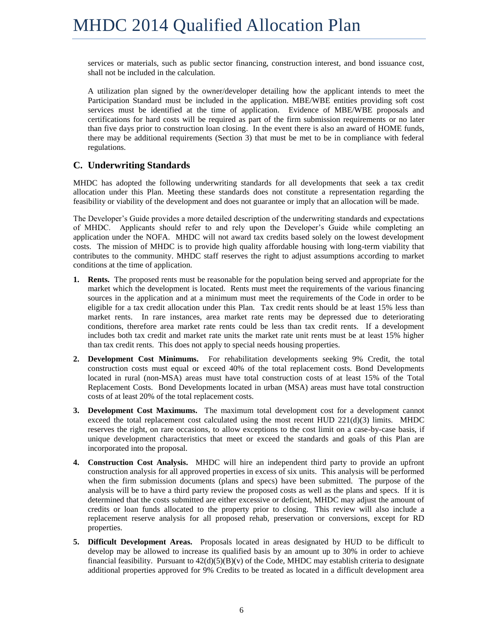services or materials, such as public sector financing, construction interest, and bond issuance cost, shall not be included in the calculation.

A utilization plan signed by the owner/developer detailing how the applicant intends to meet the Participation Standard must be included in the application. MBE/WBE entities providing soft cost services must be identified at the time of application. Evidence of MBE/WBE proposals and certifications for hard costs will be required as part of the firm submission requirements or no later than five days prior to construction loan closing. In the event there is also an award of HOME funds, there may be additional requirements (Section 3) that must be met to be in compliance with federal regulations.

# <span id="page-7-0"></span>**C. Underwriting Standards**

MHDC has adopted the following underwriting standards for all developments that seek a tax credit allocation under this Plan. Meeting these standards does not constitute a representation regarding the feasibility or viability of the development and does not guarantee or imply that an allocation will be made.

The Developer's Guide provides a more detailed description of the underwriting standards and expectations of MHDC. Applicants should refer to and rely upon the Developer's Guide while completing an application under the NOFA. MHDC will not award tax credits based solely on the lowest development costs. The mission of MHDC is to provide high quality affordable housing with long-term viability that contributes to the community. MHDC staff reserves the right to adjust assumptions according to market conditions at the time of application.

- **1. Rents.** The proposed rents must be reasonable for the population being served and appropriate for the market which the development is located. Rents must meet the requirements of the various financing sources in the application and at a minimum must meet the requirements of the Code in order to be eligible for a tax credit allocation under this Plan. Tax credit rents should be at least 15% less than market rents. In rare instances, area market rate rents may be depressed due to deteriorating conditions, therefore area market rate rents could be less than tax credit rents. If a development includes both tax credit and market rate units the market rate unit rents must be at least 15% higher than tax credit rents. This does not apply to special needs housing properties.
- **2. Development Cost Minimums.** For rehabilitation developments seeking 9% Credit, the total construction costs must equal or exceed 40% of the total replacement costs. Bond Developments located in rural (non-MSA) areas must have total construction costs of at least 15% of the Total Replacement Costs. Bond Developments located in urban (MSA) areas must have total construction costs of at least 20% of the total replacement costs.
- **3. Development Cost Maximums.** The maximum total development cost for a development cannot exceed the total replacement cost calculated using the most recent HUD  $221(d)(3)$  limits. MHDC reserves the right, on rare occasions, to allow exceptions to the cost limit on a case-by-case basis, if unique development characteristics that meet or exceed the standards and goals of this Plan are incorporated into the proposal.
- **4. Construction Cost Analysis.** MHDC will hire an independent third party to provide an upfront construction analysis for all approved properties in excess of six units. This analysis will be performed when the firm submission documents (plans and specs) have been submitted. The purpose of the analysis will be to have a third party review the proposed costs as well as the plans and specs. If it is determined that the costs submitted are either excessive or deficient, MHDC may adjust the amount of credits or loan funds allocated to the property prior to closing. This review will also include a replacement reserve analysis for all proposed rehab, preservation or conversions, except for RD properties.
- **5. Difficult Development Areas.** Proposals located in areas designated by HUD to be difficult to develop may be allowed to increase its qualified basis by an amount up to 30% in order to achieve financial feasibility. Pursuant to  $42(d)(5)(B)(v)$  of the Code, MHDC may establish criteria to designate additional properties approved for 9% Credits to be treated as located in a difficult development area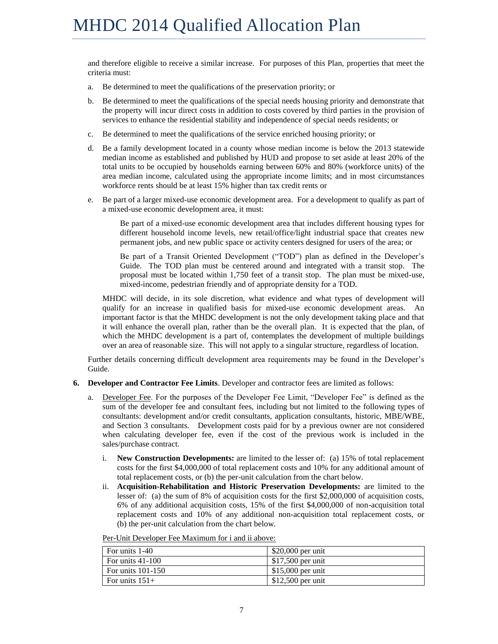and therefore eligible to receive a similar increase. For purposes of this Plan, properties that meet the criteria must:

- a. Be determined to meet the qualifications of the preservation priority; or
- b. Be determined to meet the qualifications of the special needs housing priority and demonstrate that the property will incur direct costs in addition to costs covered by third parties in the provision of services to enhance the residential stability and independence of special needs residents; or
- c. Be determined to meet the qualifications of the service enriched housing priority; or
- d. Be a family development located in a county whose median income is below the 2013 statewide median income as established and published by HUD and propose to set aside at least 20% of the total units to be occupied by households earning between 60% and 80% (workforce units) of the area median income, calculated using the appropriate income limits; and in most circumstances workforce rents should be at least 15% higher than tax credit rents or
- e. Be part of a larger mixed-use economic development area. For a development to qualify as part of a mixed-use economic development area, it must:

Be part of a mixed-use economic development area that includes different housing types for different household income levels, new retail/office/light industrial space that creates new permanent jobs, and new public space or activity centers designed for users of the area; or

Be part of a Transit Oriented Development ("TOD") plan as defined in the Developer's Guide. The TOD plan must be centered around and integrated with a transit stop. The proposal must be located within 1,750 feet of a transit stop. The plan must be mixed-use, mixed-income, pedestrian friendly and of appropriate density for a TOD.

MHDC will decide, in its sole discretion, what evidence and what types of development will qualify for an increase in qualified basis for mixed-use economic development areas. An important factor is that the MHDC development is not the only development taking place and that it will enhance the overall plan, rather than be the overall plan. It is expected that the plan, of which the MHDC development is a part of, contemplates the development of multiple buildings over an area of reasonable size. This will not apply to a singular structure, regardless of location.

Further details concerning difficult development area requirements may be found in the Developer's Guide.

- **6. Developer and Contractor Fee Limits**. Developer and contractor fees are limited as follows:
	- a. Developer Fee. For the purposes of the Developer Fee Limit, "Developer Fee" is defined as the sum of the developer fee and consultant fees, including but not limited to the following types of consultants: development and/or credit consultants, application consultants, historic, MBE/WBE, and Section 3 consultants. Development costs paid for by a previous owner are not considered when calculating developer fee, even if the cost of the previous work is included in the sales/purchase contract.
		- i. **New Construction Developments:** are limited to the lesser of: (a) 15% of total replacement costs for the first \$4,000,000 of total replacement costs and 10% for any additional amount of total replacement costs, or (b) the per-unit calculation from the chart below.
		- ii. **Acquisition-Rehabilitation and Historic Preservation Developments:** are limited to the lesser of: (a) the sum of 8% of acquisition costs for the first \$2,000,000 of acquisition costs, 6% of any additional acquisition costs, 15% of the first \$4,000,000 of non-acquisition total replacement costs and 10% of any additional non-acquisition total replacement costs, or (b) the per-unit calculation from the chart below.

| For units 1-40                  | $$20,000$ per unit |
|---------------------------------|--------------------|
| $\overline{1}$ For units 41-100 | $$17,500$ per unit |
| For units $101-150$             | $$15,000$ per unit |
| For units $151+$                | $$12,500$ per unit |

Per-Unit Developer Fee Maximum for i and ii above: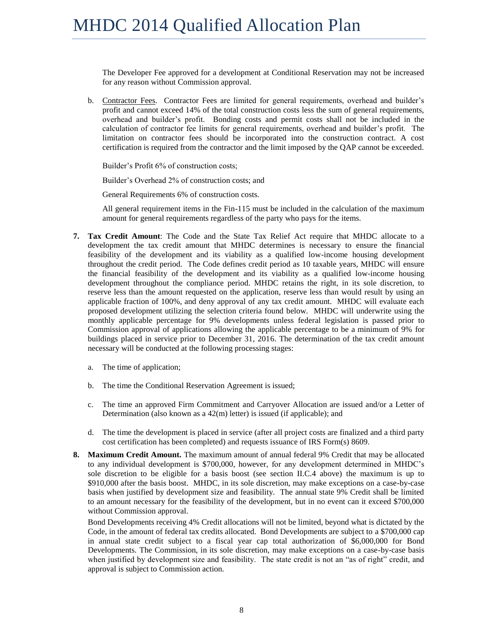The Developer Fee approved for a development at Conditional Reservation may not be increased for any reason without Commission approval.

b. Contractor Fees. Contractor Fees are limited for general requirements, overhead and builder's profit and cannot exceed 14% of the total construction costs less the sum of general requirements, overhead and builder's profit. Bonding costs and permit costs shall not be included in the calculation of contractor fee limits for general requirements, overhead and builder's profit. The limitation on contractor fees should be incorporated into the construction contract. A cost certification is required from the contractor and the limit imposed by the QAP cannot be exceeded.

Builder's Profit 6% of construction costs;

Builder's Overhead 2% of construction costs; and

General Requirements 6% of construction costs.

All general requirement items in the Fin-115 must be included in the calculation of the maximum amount for general requirements regardless of the party who pays for the items.

- **7. Tax Credit Amount**: The Code and the State Tax Relief Act require that MHDC allocate to a development the tax credit amount that MHDC determines is necessary to ensure the financial feasibility of the development and its viability as a qualified low-income housing development throughout the credit period. The Code defines credit period as 10 taxable years, MHDC will ensure the financial feasibility of the development and its viability as a qualified low-income housing development throughout the compliance period. MHDC retains the right, in its sole discretion, to reserve less than the amount requested on the application, reserve less than would result by using an applicable fraction of 100%, and deny approval of any tax credit amount. MHDC will evaluate each proposed development utilizing the selection criteria found below. MHDC will underwrite using the monthly applicable percentage for 9% developments unless federal legislation is passed prior to Commission approval of applications allowing the applicable percentage to be a minimum of 9% for buildings placed in service prior to December 31, 2016. The determination of the tax credit amount necessary will be conducted at the following processing stages:
	- a. The time of application;
	- b. The time the Conditional Reservation Agreement is issued;
	- c. The time an approved Firm Commitment and Carryover Allocation are issued and/or a Letter of Determination (also known as a 42(m) letter) is issued (if applicable); and
	- d. The time the development is placed in service (after all project costs are finalized and a third party cost certification has been completed) and requests issuance of IRS Form(s) 8609.
- **8. Maximum Credit Amount.** The maximum amount of annual federal 9% Credit that may be allocated to any individual development is \$700,000, however, for any development determined in MHDC's sole discretion to be eligible for a basis boost (see section II.C.4 above) the maximum is up to \$910,000 after the basis boost. MHDC, in its sole discretion, may make exceptions on a case-by-case basis when justified by development size and feasibility. The annual state 9% Credit shall be limited to an amount necessary for the feasibility of the development, but in no event can it exceed \$700,000 without Commission approval.

Bond Developments receiving 4% Credit allocations will not be limited, beyond what is dictated by the Code, in the amount of federal tax credits allocated. Bond Developments are subject to a \$700,000 cap in annual state credit subject to a fiscal year cap total authorization of \$6,000,000 for Bond Developments. The Commission, in its sole discretion, may make exceptions on a case-by-case basis when justified by development size and feasibility. The state credit is not an "as of right" credit, and approval is subject to Commission action.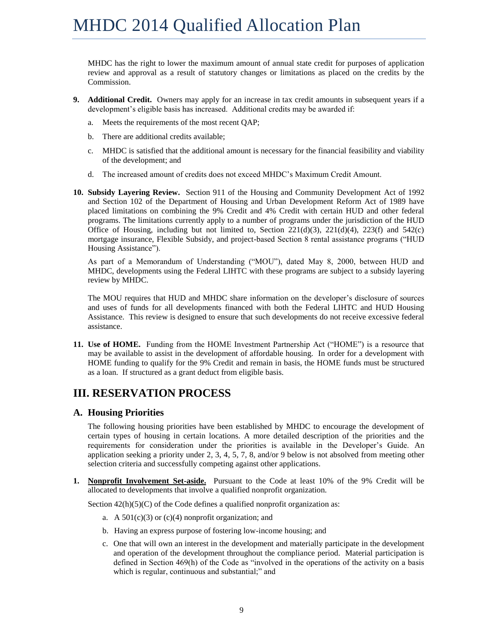MHDC has the right to lower the maximum amount of annual state credit for purposes of application review and approval as a result of statutory changes or limitations as placed on the credits by the Commission.

- **9. Additional Credit.** Owners may apply for an increase in tax credit amounts in subsequent years if a development's eligible basis has increased. Additional credits may be awarded if:
	- a. Meets the requirements of the most recent QAP;
	- b. There are additional credits available;
	- c. MHDC is satisfied that the additional amount is necessary for the financial feasibility and viability of the development; and
	- d. The increased amount of credits does not exceed MHDC's Maximum Credit Amount.
- **10. Subsidy Layering Review.** Section 911 of the Housing and Community Development Act of 1992 and Section 102 of the Department of Housing and Urban Development Reform Act of 1989 have placed limitations on combining the 9% Credit and 4% Credit with certain HUD and other federal programs. The limitations currently apply to a number of programs under the jurisdiction of the HUD Office of Housing, including but not limited to, Section 221(d)(3), 221(d)(4), 223(f) and  $542(c)$ mortgage insurance, Flexible Subsidy, and project-based Section 8 rental assistance programs ("HUD Housing Assistance").

As part of a Memorandum of Understanding ("MOU"), dated May 8, 2000, between HUD and MHDC, developments using the Federal LIHTC with these programs are subject to a subsidy layering review by MHDC.

The MOU requires that HUD and MHDC share information on the developer's disclosure of sources and uses of funds for all developments financed with both the Federal LIHTC and HUD Housing Assistance. This review is designed to ensure that such developments do not receive excessive federal assistance.

**11. Use of HOME.** Funding from the HOME Investment Partnership Act ("HOME") is a resource that may be available to assist in the development of affordable housing. In order for a development with HOME funding to qualify for the 9% Credit and remain in basis, the HOME funds must be structured as a loan. If structured as a grant deduct from eligible basis.

# <span id="page-10-0"></span>**III. RESERVATION PROCESS**

#### <span id="page-10-1"></span>**A. Housing Priorities**

The following housing priorities have been established by MHDC to encourage the development of certain types of housing in certain locations. A more detailed description of the priorities and the requirements for consideration under the priorities is available in the Developer's Guide. An application seeking a priority under 2, 3, 4, 5, 7, 8, and/or 9 below is not absolved from meeting other selection criteria and successfully competing against other applications.

**1. Nonprofit Involvement Set-aside.** Pursuant to the Code at least 10% of the 9% Credit will be allocated to developments that involve a qualified nonprofit organization.

Section  $42(h)(5)(C)$  of the Code defines a qualified nonprofit organization as:

- a. A  $501(c)(3)$  or  $(c)(4)$  nonprofit organization; and
- b. Having an express purpose of fostering low-income housing; and
- c. One that will own an interest in the development and materially participate in the development and operation of the development throughout the compliance period. Material participation is defined in Section 469(h) of the Code as "involved in the operations of the activity on a basis which is regular, continuous and substantial;" and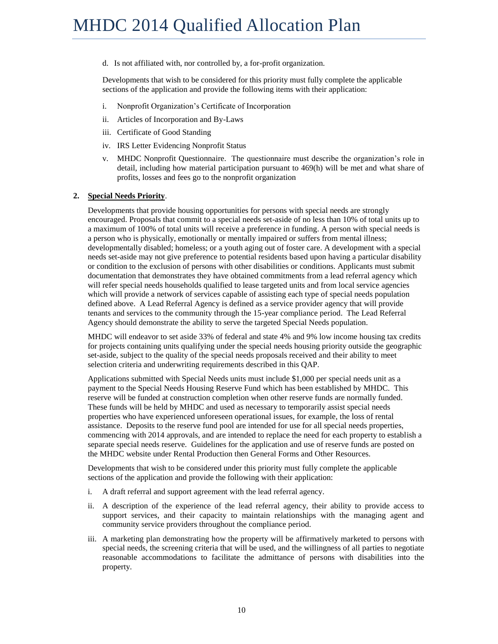d. Is not affiliated with, nor controlled by, a for-profit organization.

Developments that wish to be considered for this priority must fully complete the applicable sections of the application and provide the following items with their application:

- i. Nonprofit Organization's Certificate of Incorporation
- ii. Articles of Incorporation and By-Laws
- iii. Certificate of Good Standing
- iv. IRS Letter Evidencing Nonprofit Status
- v. MHDC Nonprofit Questionnaire. The questionnaire must describe the organization's role in detail, including how material participation pursuant to 469(h) will be met and what share of profits, losses and fees go to the nonprofit organization

#### **2. Special Needs Priority**.

Developments that provide housing opportunities for persons with special needs are strongly encouraged. Proposals that commit to a special needs set-aside of no less than 10% of total units up to a maximum of 100% of total units will receive a preference in funding. A person with special needs is a person who is physically, emotionally or mentally impaired or suffers from mental illness; developmentally disabled; homeless; or a youth aging out of foster care. A development with a special needs set-aside may not give preference to potential residents based upon having a particular disability or condition to the exclusion of persons with other disabilities or conditions. Applicants must submit documentation that demonstrates they have obtained commitments from a lead referral agency which will refer special needs households qualified to lease targeted units and from local service agencies which will provide a network of services capable of assisting each type of special needs population defined above. A Lead Referral Agency is defined as a service provider agency that will provide tenants and services to the community through the 15-year compliance period. The Lead Referral Agency should demonstrate the ability to serve the targeted Special Needs population.

MHDC will endeavor to set aside 33% of federal and state 4% and 9% low income housing tax credits for projects containing units qualifying under the special needs housing priority outside the geographic set-aside, subject to the quality of the special needs proposals received and their ability to meet selection criteria and underwriting requirements described in this QAP.

Applications submitted with Special Needs units must include \$1,000 per special needs unit as a payment to the Special Needs Housing Reserve Fund which has been established by MHDC. This reserve will be funded at construction completion when other reserve funds are normally funded. These funds will be held by MHDC and used as necessary to temporarily assist special needs properties who have experienced unforeseen operational issues, for example, the loss of rental assistance. Deposits to the reserve fund pool are intended for use for all special needs properties, commencing with 2014 approvals, and are intended to replace the need for each property to establish a separate special needs reserve. Guidelines for the application and use of reserve funds are posted on the MHDC website under Rental Production then General Forms and Other Resources.

Developments that wish to be considered under this priority must fully complete the applicable sections of the application and provide the following with their application:

- i. A draft referral and support agreement with the lead referral agency.
- ii. A description of the experience of the lead referral agency, their ability to provide access to support services, and their capacity to maintain relationships with the managing agent and community service providers throughout the compliance period.
- iii. A marketing plan demonstrating how the property will be affirmatively marketed to persons with special needs, the screening criteria that will be used, and the willingness of all parties to negotiate reasonable accommodations to facilitate the admittance of persons with disabilities into the property.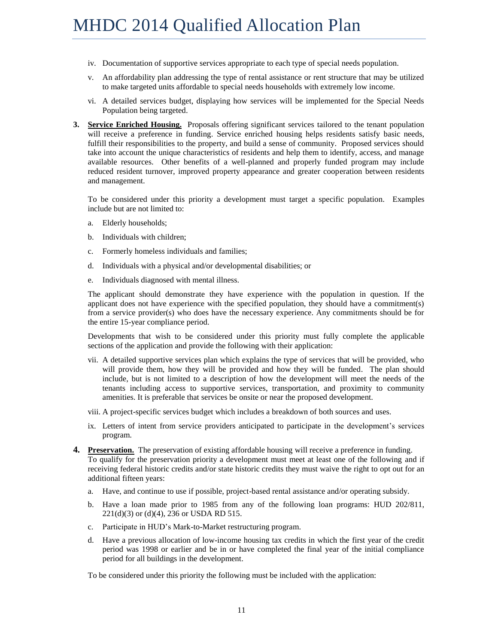- iv. Documentation of supportive services appropriate to each type of special needs population.
- v. An affordability plan addressing the type of rental assistance or rent structure that may be utilized to make targeted units affordable to special needs households with extremely low income.
- vi. A detailed services budget, displaying how services will be implemented for the Special Needs Population being targeted.
- **3. Service Enriched Housing.** Proposals offering significant services tailored to the tenant population will receive a preference in funding. Service enriched housing helps residents satisfy basic needs, fulfill their responsibilities to the property, and build a sense of community. Proposed services should take into account the unique characteristics of residents and help them to identify, access, and manage available resources. Other benefits of a well-planned and properly funded program may include reduced resident turnover, improved property appearance and greater cooperation between residents and management.

To be considered under this priority a development must target a specific population. Examples include but are not limited to:

- a. Elderly households;
- b. Individuals with children;
- c. Formerly homeless individuals and families;
- d. Individuals with a physical and/or developmental disabilities; or
- e. Individuals diagnosed with mental illness.

The applicant should demonstrate they have experience with the population in question. If the applicant does not have experience with the specified population, they should have a commitment(s) from a service provider(s) who does have the necessary experience. Any commitments should be for the entire 15-year compliance period.

Developments that wish to be considered under this priority must fully complete the applicable sections of the application and provide the following with their application:

- vii. A detailed supportive services plan which explains the type of services that will be provided, who will provide them, how they will be provided and how they will be funded. The plan should include, but is not limited to a description of how the development will meet the needs of the tenants including access to supportive services, transportation, and proximity to community amenities. It is preferable that services be onsite or near the proposed development.
- viii. A project-specific services budget which includes a breakdown of both sources and uses.
- ix. Letters of intent from service providers anticipated to participate in the development's services program.
- **4. Preservation.** The preservation of existing affordable housing will receive a preference in funding. To qualify for the preservation priority a development must meet at least one of the following and if receiving federal historic credits and/or state historic credits they must waive the right to opt out for an additional fifteen years:
	- a. Have, and continue to use if possible, project-based rental assistance and/or operating subsidy.
	- b. Have a loan made prior to 1985 from any of the following loan programs: HUD 202/811, 221(d)(3) or (d)(4), 236 or USDA RD 515.
	- c. Participate in HUD's Mark-to-Market restructuring program.
	- d. Have a previous allocation of low-income housing tax credits in which the first year of the credit period was 1998 or earlier and be in or have completed the final year of the initial compliance period for all buildings in the development.

To be considered under this priority the following must be included with the application: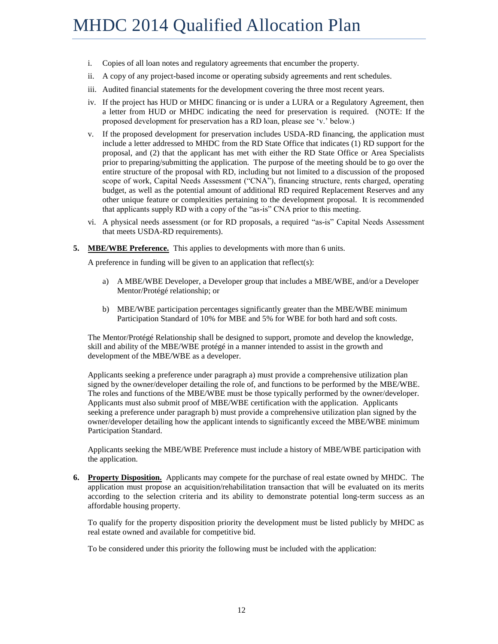- i. Copies of all loan notes and regulatory agreements that encumber the property.
- ii. A copy of any project-based income or operating subsidy agreements and rent schedules.
- iii. Audited financial statements for the development covering the three most recent years.
- iv. If the project has HUD or MHDC financing or is under a LURA or a Regulatory Agreement, then a letter from HUD or MHDC indicating the need for preservation is required. (NOTE: If the proposed development for preservation has a RD loan, please see 'v.' below.)
- v. If the proposed development for preservation includes USDA-RD financing, the application must include a letter addressed to MHDC from the RD State Office that indicates (1) RD support for the proposal, and (2) that the applicant has met with either the RD State Office or Area Specialists prior to preparing/submitting the application. The purpose of the meeting should be to go over the entire structure of the proposal with RD, including but not limited to a discussion of the proposed scope of work, Capital Needs Assessment ("CNA"), financing structure, rents charged, operating budget, as well as the potential amount of additional RD required Replacement Reserves and any other unique feature or complexities pertaining to the development proposal. It is recommended that applicants supply RD with a copy of the "as-is" CNA prior to this meeting.
- vi. A physical needs assessment (or for RD proposals, a required "as-is" Capital Needs Assessment that meets USDA-RD requirements).
- **5. MBE/WBE Preference.** This applies to developments with more than 6 units.

A preference in funding will be given to an application that reflect(s):

- a) A MBE/WBE Developer, a Developer group that includes a MBE/WBE, and/or a Developer Mentor/Protégé relationship; or
- b) MBE/WBE participation percentages significantly greater than the MBE/WBE minimum Participation Standard of 10% for MBE and 5% for WBE for both hard and soft costs.

The Mentor/Protégé Relationship shall be designed to support, promote and develop the knowledge, skill and ability of the MBE/WBE protégé in a manner intended to assist in the growth and development of the MBE/WBE as a developer.

Applicants seeking a preference under paragraph a) must provide a comprehensive utilization plan signed by the owner/developer detailing the role of, and functions to be performed by the MBE/WBE. The roles and functions of the MBE/WBE must be those typically performed by the owner/developer. Applicants must also submit proof of MBE/WBE certification with the application. Applicants seeking a preference under paragraph b) must provide a comprehensive utilization plan signed by the owner/developer detailing how the applicant intends to significantly exceed the MBE/WBE minimum Participation Standard.

Applicants seeking the MBE/WBE Preference must include a history of MBE/WBE participation with the application.

**6. Property Disposition.** Applicants may compete for the purchase of real estate owned by MHDC. The application must propose an acquisition/rehabilitation transaction that will be evaluated on its merits according to the selection criteria and its ability to demonstrate potential long-term success as an affordable housing property.

To qualify for the property disposition priority the development must be listed publicly by MHDC as real estate owned and available for competitive bid.

To be considered under this priority the following must be included with the application: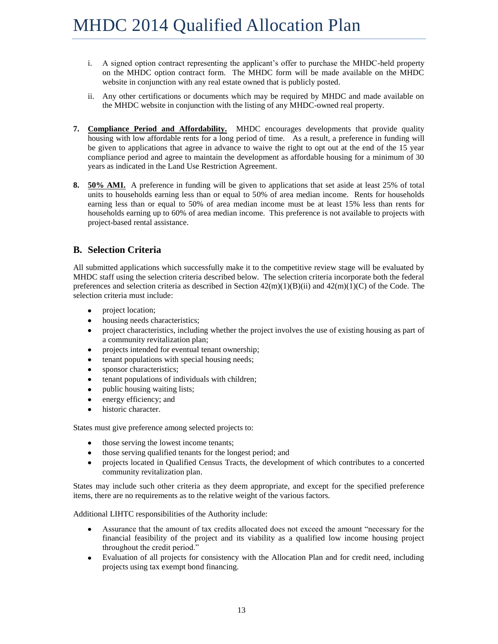- i. A signed option contract representing the applicant's offer to purchase the MHDC-held property on the MHDC option contract form. The MHDC form will be made available on the MHDC website in conjunction with any real estate owned that is publicly posted.
- ii. Any other certifications or documents which may be required by MHDC and made available on the MHDC website in conjunction with the listing of any MHDC-owned real property.
- **7. Compliance Period and Affordability.** MHDC encourages developments that provide quality housing with low affordable rents for a long period of time. As a result, a preference in funding will be given to applications that agree in advance to waive the right to opt out at the end of the 15 year compliance period and agree to maintain the development as affordable housing for a minimum of 30 years as indicated in the Land Use Restriction Agreement.
- **8. 50% AMI.** A preference in funding will be given to applications that set aside at least 25% of total units to households earning less than or equal to 50% of area median income. Rents for households earning less than or equal to 50% of area median income must be at least 15% less than rents for households earning up to 60% of area median income. This preference is not available to projects with project-based rental assistance.

## <span id="page-14-0"></span>**B. Selection Criteria**

All submitted applications which successfully make it to the competitive review stage will be evaluated by MHDC staff using the selection criteria described below. The selection criteria incorporate both the federal preferences and selection criteria as described in Section  $42(m)(1)(B)(ii)$  and  $42(m)(1)(C)$  of the Code. The selection criteria must include:

- project location;  $\bullet$
- $\bullet$ housing needs characteristics;
- project characteristics, including whether the project involves the use of existing housing as part of  $\bullet$ a community revitalization plan;
- $\bullet$ projects intended for eventual tenant ownership;
- tenant populations with special housing needs;
- sponsor characteristics;  $\bullet$
- tenant populations of individuals with children;  $\bullet$
- $\bullet$ public housing waiting lists;
- $\bullet$ energy efficiency; and
- historic character.

States must give preference among selected projects to:

- those serving the lowest income tenants;  $\bullet$
- those serving qualified tenants for the longest period; and  $\bullet$
- projects located in Qualified Census Tracts, the development of which contributes to a concerted community revitalization plan.

States may include such other criteria as they deem appropriate, and except for the specified preference items, there are no requirements as to the relative weight of the various factors.

Additional LIHTC responsibilities of the Authority include:

- Assurance that the amount of tax credits allocated does not exceed the amount "necessary for the  $\bullet$ financial feasibility of the project and its viability as a qualified low income housing project throughout the credit period."
- Evaluation of all projects for consistency with the Allocation Plan and for credit need, including  $\bullet$ projects using tax exempt bond financing.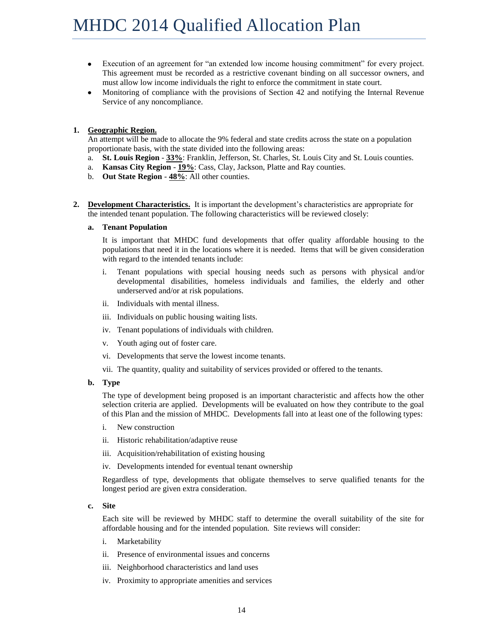- $\bullet$ Execution of an agreement for "an extended low income housing commitment" for every project. This agreement must be recorded as a restrictive covenant binding on all successor owners, and must allow low income individuals the right to enforce the commitment in state court.
- $\bullet$ Monitoring of compliance with the provisions of Section 42 and notifying the Internal Revenue Service of any noncompliance.

#### **1. Geographic Region.**

An attempt will be made to allocate the 9% federal and state credits across the state on a population proportionate basis, with the state divided into the following areas:

- a. **St. Louis Region 33%**: Franklin, Jefferson, St. Charles, St. Louis City and St. Louis counties.
- a. **Kansas City Region 19%**: Cass, Clay, Jackson, Platte and Ray counties.
- b. **Out State Region 48%**: All other counties.
- **2. Development Characteristics.** It is important the development's characteristics are appropriate for the intended tenant population. The following characteristics will be reviewed closely:

#### **a. Tenant Population**

It is important that MHDC fund developments that offer quality affordable housing to the populations that need it in the locations where it is needed. Items that will be given consideration with regard to the intended tenants include:

- i. Tenant populations with special housing needs such as persons with physical and/or developmental disabilities, homeless individuals and families, the elderly and other underserved and/or at risk populations.
- ii. Individuals with mental illness.
- iii. Individuals on public housing waiting lists.
- iv. Tenant populations of individuals with children.
- v. Youth aging out of foster care.
- vi. Developments that serve the lowest income tenants.
- vii. The quantity, quality and suitability of services provided or offered to the tenants.
- **b. Type**

The type of development being proposed is an important characteristic and affects how the other selection criteria are applied. Developments will be evaluated on how they contribute to the goal of this Plan and the mission of MHDC. Developments fall into at least one of the following types:

- i. New construction
- ii. Historic rehabilitation/adaptive reuse
- iii. Acquisition/rehabilitation of existing housing
- iv. Developments intended for eventual tenant ownership

Regardless of type, developments that obligate themselves to serve qualified tenants for the longest period are given extra consideration.

#### **c. Site**

Each site will be reviewed by MHDC staff to determine the overall suitability of the site for affordable housing and for the intended population. Site reviews will consider:

- i. Marketability
- ii. Presence of environmental issues and concerns
- iii. Neighborhood characteristics and land uses
- iv. Proximity to appropriate amenities and services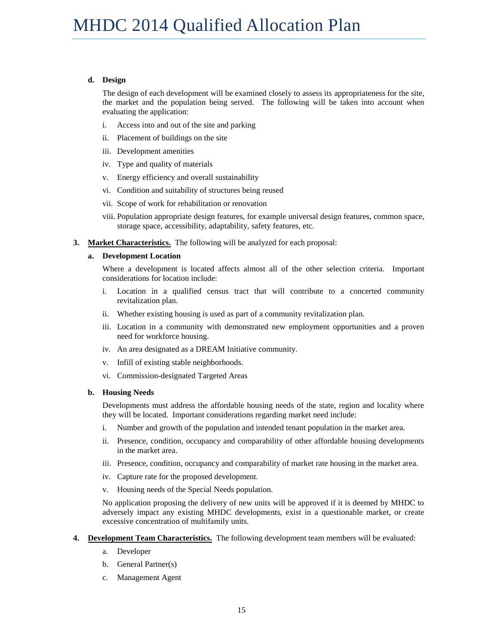#### **d. Design**

The design of each development will be examined closely to assess its appropriateness for the site, the market and the population being served. The following will be taken into account when evaluating the application:

- i. Access into and out of the site and parking
- ii. Placement of buildings on the site
- iii. Development amenities
- iv. Type and quality of materials
- v. Energy efficiency and overall sustainability
- vi. Condition and suitability of structures being reused
- vii. Scope of work for rehabilitation or renovation
- viii. Population appropriate design features, for example universal design features, common space, storage space, accessibility, adaptability, safety features, etc.
- **3. Market Characteristics.** The following will be analyzed for each proposal:

#### **a. Development Location**

Where a development is located affects almost all of the other selection criteria. Important considerations for location include:

- i. Location in a qualified census tract that will contribute to a concerted community revitalization plan.
- ii. Whether existing housing is used as part of a community revitalization plan.
- iii. Location in a community with demonstrated new employment opportunities and a proven need for workforce housing.
- iv. An area designated as a DREAM Initiative community.
- v. Infill of existing stable neighborhoods.
- vi. Commission-designated Targeted Areas

#### **b. Housing Needs**

Developments must address the affordable housing needs of the state, region and locality where they will be located. Important considerations regarding market need include:

- i. Number and growth of the population and intended tenant population in the market area.
- ii. Presence, condition, occupancy and comparability of other affordable housing developments in the market area.
- iii. Presence, condition, occupancy and comparability of market rate housing in the market area.
- iv. Capture rate for the proposed development.
- v. Housing needs of the Special Needs population.

No application proposing the delivery of new units will be approved if it is deemed by MHDC to adversely impact any existing MHDC developments, exist in a questionable market, or create excessive concentration of multifamily units.

- **4. Development Team Characteristics.** The following development team members will be evaluated:
	- a. Developer
	- b. General Partner(s)
	- c. Management Agent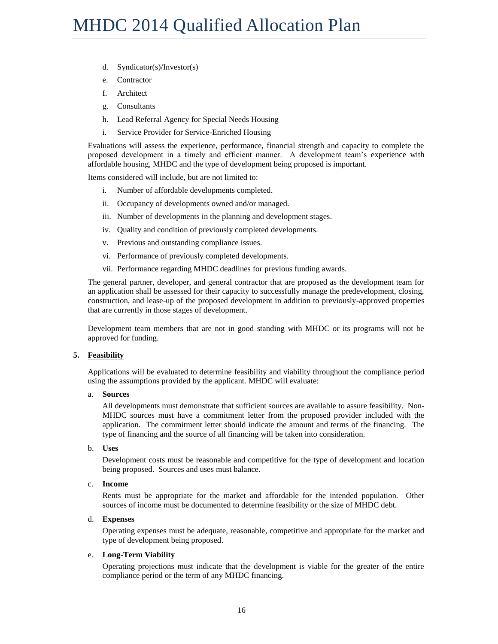- d. Syndicator(s)/Investor(s)
- e. Contractor
- f. Architect
- g. Consultants
- h. Lead Referral Agency for Special Needs Housing
- i. Service Provider for Service-Enriched Housing

Evaluations will assess the experience, performance, financial strength and capacity to complete the proposed development in a timely and efficient manner. A development team's experience with affordable housing, MHDC and the type of development being proposed is important.

Items considered will include, but are not limited to:

- i. Number of affordable developments completed.
- ii. Occupancy of developments owned and/or managed.
- iii. Number of developments in the planning and development stages.
- iv. Quality and condition of previously completed developments.
- v. Previous and outstanding compliance issues.
- vi. Performance of previously completed developments.
- vii. Performance regarding MHDC deadlines for previous funding awards.

The general partner, developer, and general contractor that are proposed as the development team for an application shall be assessed for their capacity to successfully manage the predevelopment, closing, construction, and lease-up of the proposed development in addition to previously-approved properties that are currently in those stages of development.

Development team members that are not in good standing with MHDC or its programs will not be approved for funding.

#### **5. Feasibility**

Applications will be evaluated to determine feasibility and viability throughout the compliance period using the assumptions provided by the applicant. MHDC will evaluate:

#### a. **Sources**

All developments must demonstrate that sufficient sources are available to assure feasibility. Non-MHDC sources must have a commitment letter from the proposed provider included with the application. The commitment letter should indicate the amount and terms of the financing. The type of financing and the source of all financing will be taken into consideration.

#### b. **Uses**

Development costs must be reasonable and competitive for the type of development and location being proposed. Sources and uses must balance.

#### c. **Income**

Rents must be appropriate for the market and affordable for the intended population. Other sources of income must be documented to determine feasibility or the size of MHDC debt.

#### d. **Expenses**

Operating expenses must be adequate, reasonable, competitive and appropriate for the market and type of development being proposed.

#### e. **Long-Term Viability**

Operating projections must indicate that the development is viable for the greater of the entire compliance period or the term of any MHDC financing.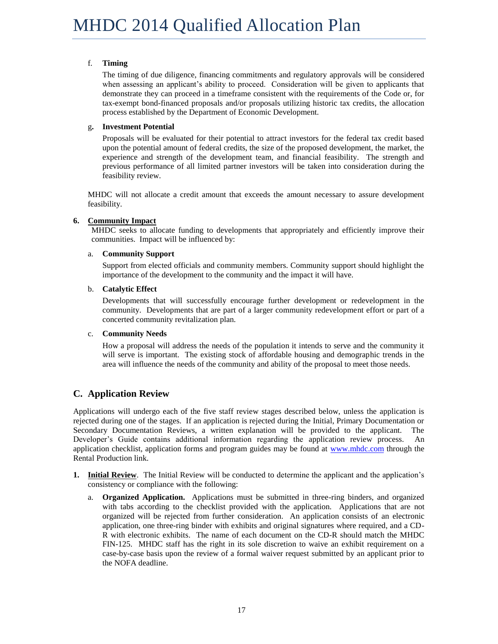#### f. **Timing**

The timing of due diligence, financing commitments and regulatory approvals will be considered when assessing an applicant's ability to proceed. Consideration will be given to applicants that demonstrate they can proceed in a timeframe consistent with the requirements of the Code or, for tax-exempt bond-financed proposals and/or proposals utilizing historic tax credits, the allocation process established by the Department of Economic Development.

#### g**. Investment Potential**

Proposals will be evaluated for their potential to attract investors for the federal tax credit based upon the potential amount of federal credits, the size of the proposed development, the market, the experience and strength of the development team, and financial feasibility. The strength and previous performance of all limited partner investors will be taken into consideration during the feasibility review.

MHDC will not allocate a credit amount that exceeds the amount necessary to assure development feasibility.

#### **6. Community Impact**

MHDC seeks to allocate funding to developments that appropriately and efficiently improve their communities. Impact will be influenced by:

#### a. **Community Support**

Support from elected officials and community members. Community support should highlight the importance of the development to the community and the impact it will have.

#### b. **Catalytic Effect**

Developments that will successfully encourage further development or redevelopment in the community. Developments that are part of a larger community redevelopment effort or part of a concerted community revitalization plan.

#### c. **Community Needs**

How a proposal will address the needs of the population it intends to serve and the community it will serve is important. The existing stock of affordable housing and demographic trends in the area will influence the needs of the community and ability of the proposal to meet those needs.

## <span id="page-18-0"></span>**C. Application Review**

Applications will undergo each of the five staff review stages described below, unless the application is rejected during one of the stages. If an application is rejected during the Initial, Primary Documentation or Secondary Documentation Reviews, a written explanation will be provided to the applicant. The Developer's Guide contains additional information regarding the application review process. An application checklist, application forms and program guides may be found at [www.mhdc.com](http://www.mhdc.com/) through the Rental Production link.

- **1. Initial Review**. The Initial Review will be conducted to determine the applicant and the application's consistency or compliance with the following:
	- a. **Organized Application.** Applications must be submitted in three-ring binders, and organized with tabs according to the checklist provided with the application. Applications that are not organized will be rejected from further consideration. An application consists of an electronic application, one three-ring binder with exhibits and original signatures where required, and a CD-R with electronic exhibits. The name of each document on the CD-R should match the MHDC FIN-125. MHDC staff has the right in its sole discretion to waive an exhibit requirement on a case-by-case basis upon the review of a formal waiver request submitted by an applicant prior to the NOFA deadline.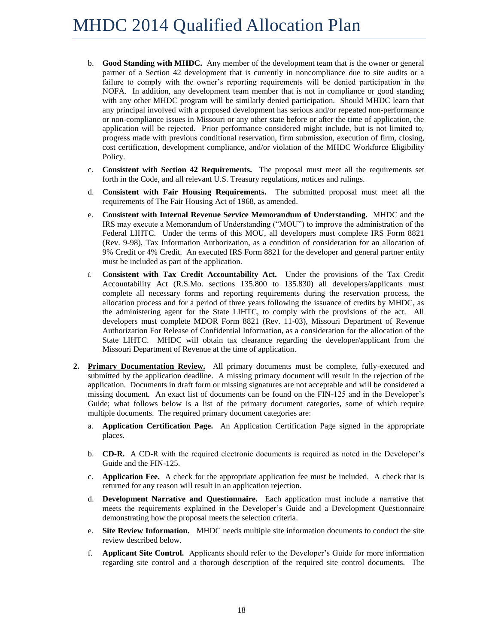- b. **Good Standing with MHDC.** Any member of the development team that is the owner or general partner of a Section 42 development that is currently in noncompliance due to site audits or a failure to comply with the owner's reporting requirements will be denied participation in the NOFA. In addition, any development team member that is not in compliance or good standing with any other MHDC program will be similarly denied participation. Should MHDC learn that any principal involved with a proposed development has serious and/or repeated non-performance or non-compliance issues in Missouri or any other state before or after the time of application, the application will be rejected. Prior performance considered might include, but is not limited to, progress made with previous conditional reservation, firm submission, execution of firm, closing, cost certification, development compliance, and/or violation of the MHDC Workforce Eligibility Policy.
- c. **Consistent with Section 42 Requirements.** The proposal must meet all the requirements set forth in the Code, and all relevant U.S. Treasury regulations, notices and rulings.
- d. **Consistent with Fair Housing Requirements.** The submitted proposal must meet all the requirements of The Fair Housing Act of 1968, as amended.
- e. **Consistent with Internal Revenue Service Memorandum of Understanding.** MHDC and the IRS may execute a Memorandum of Understanding ("MOU") to improve the administration of the Federal LIHTC. Under the terms of this MOU, all developers must complete IRS Form 8821 (Rev. 9-98), Tax Information Authorization, as a condition of consideration for an allocation of 9% Credit or 4% Credit. An executed IRS Form 8821 for the developer and general partner entity must be included as part of the application.
- f. **Consistent with Tax Credit Accountability Act.** Under the provisions of the Tax Credit Accountability Act (R.S.Mo. sections 135.800 to 135.830) all developers/applicants must complete all necessary forms and reporting requirements during the reservation process, the allocation process and for a period of three years following the issuance of credits by MHDC, as the administering agent for the State LIHTC, to comply with the provisions of the act. All developers must complete MDOR Form 8821 (Rev. 11-03), Missouri Department of Revenue Authorization For Release of Confidential Information, as a consideration for the allocation of the State LIHTC. MHDC will obtain tax clearance regarding the developer/applicant from the Missouri Department of Revenue at the time of application.
- **2. Primary Documentation Review.** All primary documents must be complete, fully-executed and submitted by the application deadline. A missing primary document will result in the rejection of the application. Documents in draft form or missing signatures are not acceptable and will be considered a missing document. An exact list of documents can be found on the FIN-125 and in the Developer's Guide; what follows below is a list of the primary document categories, some of which require multiple documents. The required primary document categories are:
	- a. **Application Certification Page.** An Application Certification Page signed in the appropriate places.
	- b. **CD-R.** A CD-R with the required electronic documents is required as noted in the Developer's Guide and the FIN-125.
	- c. **Application Fee.** A check for the appropriate application fee must be included. A check that is returned for any reason will result in an application rejection.
	- d. **Development Narrative and Questionnaire.** Each application must include a narrative that meets the requirements explained in the Developer's Guide and a Development Questionnaire demonstrating how the proposal meets the selection criteria.
	- e. **Site Review Information.** MHDC needs multiple site information documents to conduct the site review described below.
	- f. **Applicant Site Control.** Applicants should refer to the Developer's Guide for more information regarding site control and a thorough description of the required site control documents. The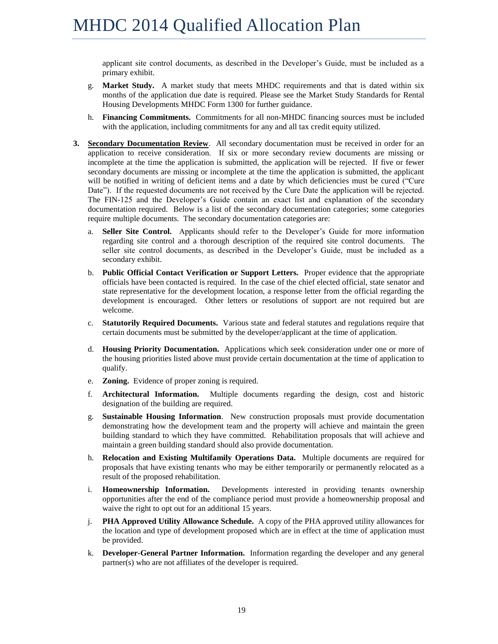applicant site control documents, as described in the Developer's Guide, must be included as a primary exhibit.

- g. **Market Study.** A market study that meets MHDC requirements and that is dated within six months of the application due date is required. Please see the Market Study Standards for Rental Housing Developments MHDC Form 1300 for further guidance.
- h. **Financing Commitments.** Commitments for all non-MHDC financing sources must be included with the application, including commitments for any and all tax credit equity utilized.
- **3. Secondary Documentation Review**. All secondary documentation must be received in order for an application to receive consideration. If six or more secondary review documents are missing or incomplete at the time the application is submitted, the application will be rejected. If five or fewer secondary documents are missing or incomplete at the time the application is submitted, the applicant will be notified in writing of deficient items and a date by which deficiencies must be cured ("Cure Date"). If the requested documents are not received by the Cure Date the application will be rejected. The FIN-125 and the Developer's Guide contain an exact list and explanation of the secondary documentation required. Below is a list of the secondary documentation categories; some categories require multiple documents. The secondary documentation categories are:
	- a. **Seller Site Control.** Applicants should refer to the Developer's Guide for more information regarding site control and a thorough description of the required site control documents. The seller site control documents, as described in the Developer's Guide, must be included as a secondary exhibit.
	- b. **Public Official Contact Verification or Support Letters.** Proper evidence that the appropriate officials have been contacted is required. In the case of the chief elected official, state senator and state representative for the development location, a response letter from the official regarding the development is encouraged. Other letters or resolutions of support are not required but are welcome.
	- c. **Statutorily Required Documents.** Various state and federal statutes and regulations require that certain documents must be submitted by the developer/applicant at the time of application.
	- d. **Housing Priority Documentation.** Applications which seek consideration under one or more of the housing priorities listed above must provide certain documentation at the time of application to qualify.
	- e. **Zoning.** Evidence of proper zoning is required.
	- f. **Architectural Information.** Multiple documents regarding the design, cost and historic designation of the building are required.
	- g. **Sustainable Housing Information**. New construction proposals must provide documentation demonstrating how the development team and the property will achieve and maintain the green building standard to which they have committed. Rehabilitation proposals that will achieve and maintain a green building standard should also provide documentation.
	- h. **Relocation and Existing Multifamily Operations Data.** Multiple documents are required for proposals that have existing tenants who may be either temporarily or permanently relocated as a result of the proposed rehabilitation.
	- i. **Homeownership Information.** Developments interested in providing tenants ownership opportunities after the end of the compliance period must provide a homeownership proposal and waive the right to opt out for an additional 15 years.
	- j. **PHA Approved Utility Allowance Schedule.** A copy of the PHA approved utility allowances for the location and type of development proposed which are in effect at the time of application must be provided.
	- k. **Developer-General Partner Information.** Information regarding the developer and any general partner(s) who are not affiliates of the developer is required.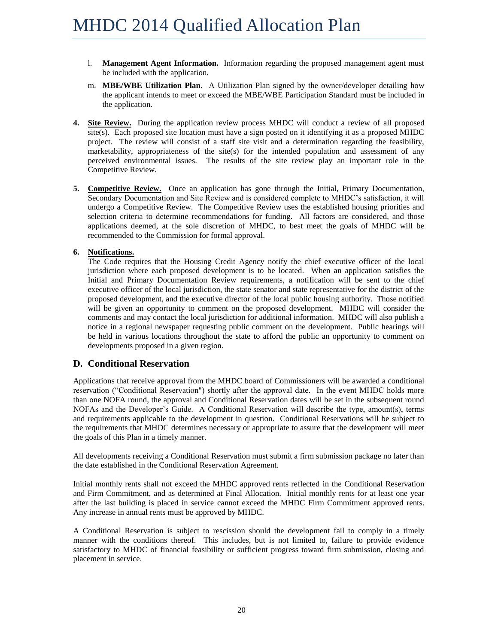- l. **Management Agent Information.** Information regarding the proposed management agent must be included with the application.
- m. **MBE/WBE Utilization Plan.** A Utilization Plan signed by the owner/developer detailing how the applicant intends to meet or exceed the MBE/WBE Participation Standard must be included in the application.
- **4. Site Review.** During the application review process MHDC will conduct a review of all proposed site(s). Each proposed site location must have a sign posted on it identifying it as a proposed MHDC project. The review will consist of a staff site visit and a determination regarding the feasibility, marketability, appropriateness of the site(s) for the intended population and assessment of any perceived environmental issues. The results of the site review play an important role in the Competitive Review.
- **5. Competitive Review.** Once an application has gone through the Initial, Primary Documentation, Secondary Documentation and Site Review and is considered complete to MHDC's satisfaction, it will undergo a Competitive Review. The Competitive Review uses the established housing priorities and selection criteria to determine recommendations for funding. All factors are considered, and those applications deemed, at the sole discretion of MHDC, to best meet the goals of MHDC will be recommended to the Commission for formal approval.

#### **6. Notifications.**

The Code requires that the Housing Credit Agency notify the chief executive officer of the local jurisdiction where each proposed development is to be located. When an application satisfies the Initial and Primary Documentation Review requirements, a notification will be sent to the chief executive officer of the local jurisdiction, the state senator and state representative for the district of the proposed development, and the executive director of the local public housing authority. Those notified will be given an opportunity to comment on the proposed development. MHDC will consider the comments and may contact the local jurisdiction for additional information. MHDC will also publish a notice in a regional newspaper requesting public comment on the development. Public hearings will be held in various locations throughout the state to afford the public an opportunity to comment on developments proposed in a given region.

#### <span id="page-21-0"></span>**D. Conditional Reservation**

Applications that receive approval from the MHDC board of Commissioners will be awarded a conditional reservation ("Conditional Reservation") shortly after the approval date. In the event MHDC holds more than one NOFA round, the approval and Conditional Reservation dates will be set in the subsequent round NOFAs and the Developer's Guide. A Conditional Reservation will describe the type, amount(s), terms and requirements applicable to the development in question. Conditional Reservations will be subject to the requirements that MHDC determines necessary or appropriate to assure that the development will meet the goals of this Plan in a timely manner.

All developments receiving a Conditional Reservation must submit a firm submission package no later than the date established in the Conditional Reservation Agreement.

Initial monthly rents shall not exceed the MHDC approved rents reflected in the Conditional Reservation and Firm Commitment, and as determined at Final Allocation. Initial monthly rents for at least one year after the last building is placed in service cannot exceed the MHDC Firm Commitment approved rents. Any increase in annual rents must be approved by MHDC.

A Conditional Reservation is subject to rescission should the development fail to comply in a timely manner with the conditions thereof. This includes, but is not limited to, failure to provide evidence satisfactory to MHDC of financial feasibility or sufficient progress toward firm submission, closing and placement in service.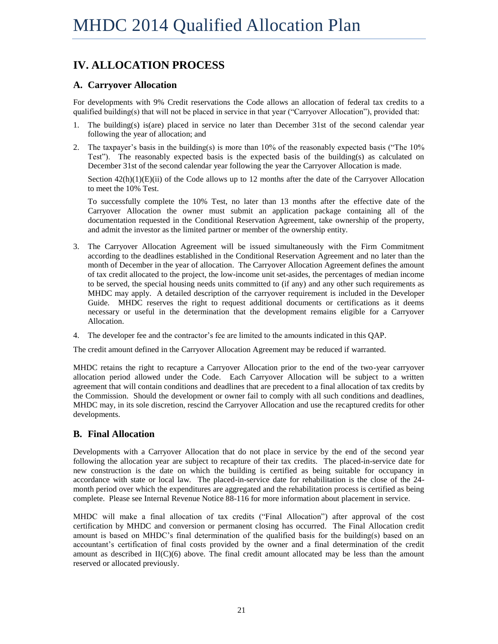# <span id="page-22-0"></span>**IV. ALLOCATION PROCESS**

### <span id="page-22-1"></span>**A. Carryover Allocation**

For developments with 9% Credit reservations the Code allows an allocation of federal tax credits to a qualified building(s) that will not be placed in service in that year ("Carryover Allocation"), provided that:

- 1. The building(s) is(are) placed in service no later than December 31st of the second calendar year following the year of allocation; and
- 2. The taxpayer's basis in the building(s) is more than 10% of the reasonably expected basis ("The 10% Test"). The reasonably expected basis is the expected basis of the building(s) as calculated on December 31st of the second calendar year following the year the Carryover Allocation is made.

Section  $42(h)(1)(E)(ii)$  of the Code allows up to 12 months after the date of the Carryover Allocation to meet the 10% Test.

To successfully complete the 10% Test, no later than 13 months after the effective date of the Carryover Allocation the owner must submit an application package containing all of the documentation requested in the Conditional Reservation Agreement, take ownership of the property, and admit the investor as the limited partner or member of the ownership entity.

- 3. The Carryover Allocation Agreement will be issued simultaneously with the Firm Commitment according to the deadlines established in the Conditional Reservation Agreement and no later than the month of December in the year of allocation. The Carryover Allocation Agreement defines the amount of tax credit allocated to the project, the low-income unit set-asides, the percentages of median income to be served, the special housing needs units committed to (if any) and any other such requirements as MHDC may apply. A detailed description of the carryover requirement is included in the Developer Guide. MHDC reserves the right to request additional documents or certifications as it deems necessary or useful in the determination that the development remains eligible for a Carryover Allocation.
- 4. The developer fee and the contractor's fee are limited to the amounts indicated in this QAP.

The credit amount defined in the Carryover Allocation Agreement may be reduced if warranted.

MHDC retains the right to recapture a Carryover Allocation prior to the end of the two-year carryover allocation period allowed under the Code. Each Carryover Allocation will be subject to a written agreement that will contain conditions and deadlines that are precedent to a final allocation of tax credits by the Commission. Should the development or owner fail to comply with all such conditions and deadlines, MHDC may, in its sole discretion, rescind the Carryover Allocation and use the recaptured credits for other developments.

## <span id="page-22-2"></span>**B. Final Allocation**

Developments with a Carryover Allocation that do not place in service by the end of the second year following the allocation year are subject to recapture of their tax credits. The placed-in-service date for new construction is the date on which the building is certified as being suitable for occupancy in accordance with state or local law. The placed-in-service date for rehabilitation is the close of the 24 month period over which the expenditures are aggregated and the rehabilitation process is certified as being complete. Please see Internal Revenue Notice 88-116 for more information about placement in service.

MHDC will make a final allocation of tax credits ("Final Allocation") after approval of the cost certification by MHDC and conversion or permanent closing has occurred. The Final Allocation credit amount is based on MHDC's final determination of the qualified basis for the building(s) based on an accountant's certification of final costs provided by the owner and a final determination of the credit amount as described in  $II(C)(6)$  above. The final credit amount allocated may be less than the amount reserved or allocated previously.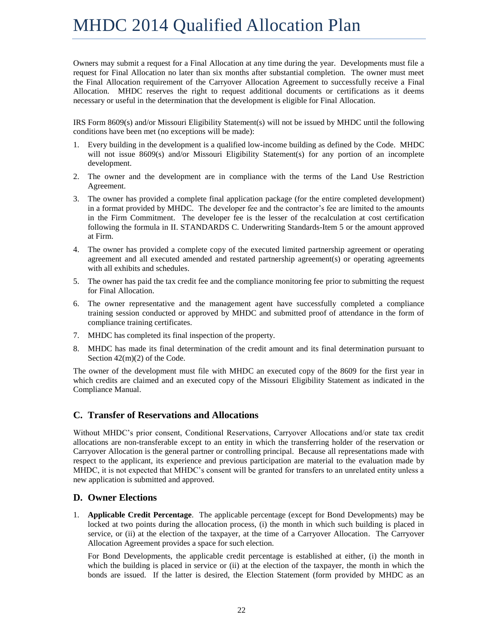Owners may submit a request for a Final Allocation at any time during the year. Developments must file a request for Final Allocation no later than six months after substantial completion. The owner must meet the Final Allocation requirement of the Carryover Allocation Agreement to successfully receive a Final Allocation. MHDC reserves the right to request additional documents or certifications as it deems necessary or useful in the determination that the development is eligible for Final Allocation.

IRS Form 8609(s) and/or Missouri Eligibility Statement(s) will not be issued by MHDC until the following conditions have been met (no exceptions will be made):

- 1. Every building in the development is a qualified low-income building as defined by the Code. MHDC will not issue 8609(s) and/or Missouri Eligibility Statement(s) for any portion of an incomplete development.
- 2. The owner and the development are in compliance with the terms of the Land Use Restriction Agreement.
- 3. The owner has provided a complete final application package (for the entire completed development) in a format provided by MHDC. The developer fee and the contractor's fee are limited to the amounts in the Firm Commitment. The developer fee is the lesser of the recalculation at cost certification following the formula in II. STANDARDS C. Underwriting Standards-Item 5 or the amount approved at Firm.
- 4. The owner has provided a complete copy of the executed limited partnership agreement or operating agreement and all executed amended and restated partnership agreement(s) or operating agreements with all exhibits and schedules.
- 5. The owner has paid the tax credit fee and the compliance monitoring fee prior to submitting the request for Final Allocation.
- 6. The owner representative and the management agent have successfully completed a compliance training session conducted or approved by MHDC and submitted proof of attendance in the form of compliance training certificates.
- 7. MHDC has completed its final inspection of the property.
- 8. MHDC has made its final determination of the credit amount and its final determination pursuant to Section 42(m)(2) of the Code.

The owner of the development must file with MHDC an executed copy of the 8609 for the first year in which credits are claimed and an executed copy of the Missouri Eligibility Statement as indicated in the Compliance Manual.

#### <span id="page-23-0"></span>**C. Transfer of Reservations and Allocations**

Without MHDC's prior consent, Conditional Reservations, Carryover Allocations and/or state tax credit allocations are non-transferable except to an entity in which the transferring holder of the reservation or Carryover Allocation is the general partner or controlling principal. Because all representations made with respect to the applicant, its experience and previous participation are material to the evaluation made by MHDC, it is not expected that MHDC's consent will be granted for transfers to an unrelated entity unless a new application is submitted and approved.

#### <span id="page-23-1"></span>**D. Owner Elections**

1. **Applicable Credit Percentage**. The applicable percentage (except for Bond Developments) may be locked at two points during the allocation process, (i) the month in which such building is placed in service, or (ii) at the election of the taxpayer, at the time of a Carryover Allocation. The Carryover Allocation Agreement provides a space for such election.

For Bond Developments, the applicable credit percentage is established at either, (i) the month in which the building is placed in service or (ii) at the election of the taxpayer, the month in which the bonds are issued. If the latter is desired, the Election Statement (form provided by MHDC as an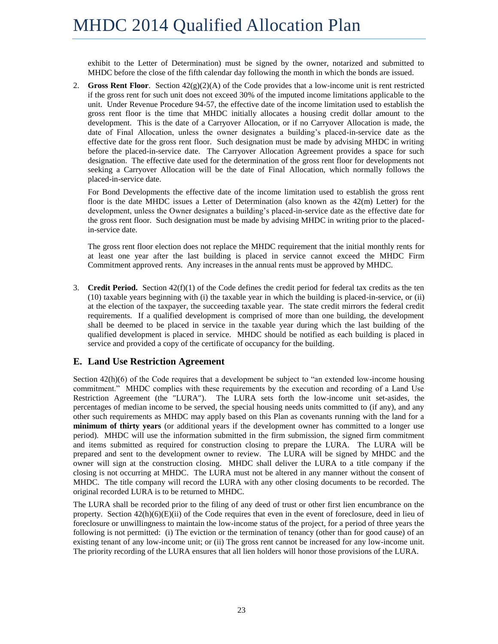exhibit to the Letter of Determination) must be signed by the owner, notarized and submitted to MHDC before the close of the fifth calendar day following the month in which the bonds are issued.

2. **Gross Rent Floor**. Section  $42(g)(2)(A)$  of the Code provides that a low-income unit is rent restricted if the gross rent for such unit does not exceed 30% of the imputed income limitations applicable to the unit. Under Revenue Procedure 94-57, the effective date of the income limitation used to establish the gross rent floor is the time that MHDC initially allocates a housing credit dollar amount to the development. This is the date of a Carryover Allocation, or if no Carryover Allocation is made, the date of Final Allocation, unless the owner designates a building's placed-in-service date as the effective date for the gross rent floor. Such designation must be made by advising MHDC in writing before the placed-in-service date. The Carryover Allocation Agreement provides a space for such designation. The effective date used for the determination of the gross rent floor for developments not seeking a Carryover Allocation will be the date of Final Allocation, which normally follows the placed-in-service date.

For Bond Developments the effective date of the income limitation used to establish the gross rent floor is the date MHDC issues a Letter of Determination (also known as the 42(m) Letter) for the development, unless the Owner designates a building's placed-in-service date as the effective date for the gross rent floor. Such designation must be made by advising MHDC in writing prior to the placedin-service date.

The gross rent floor election does not replace the MHDC requirement that the initial monthly rents for at least one year after the last building is placed in service cannot exceed the MHDC Firm Commitment approved rents. Any increases in the annual rents must be approved by MHDC.

3. **Credit Period.** Section  $42(f)(1)$  of the Code defines the credit period for federal tax credits as the ten (10) taxable years beginning with (i) the taxable year in which the building is placed-in-service, or (ii) at the election of the taxpayer, the succeeding taxable year. The state credit mirrors the federal credit requirements. If a qualified development is comprised of more than one building, the development shall be deemed to be placed in service in the taxable year during which the last building of the qualified development is placed in service. MHDC should be notified as each building is placed in service and provided a copy of the certificate of occupancy for the building.

## <span id="page-24-0"></span>**E. Land Use Restriction Agreement**

Section  $42(h)(6)$  of the Code requires that a development be subject to "an extended low-income housing commitment." MHDC complies with these requirements by the execution and recording of a Land Use Restriction Agreement (the "LURA"). The LURA sets forth the low-income unit set-asides, the percentages of median income to be served, the special housing needs units committed to (if any), and any other such requirements as MHDC may apply based on this Plan as covenants running with the land for a **minimum of thirty years** (or additional years if the development owner has committed to a longer use period). MHDC will use the information submitted in the firm submission, the signed firm commitment and items submitted as required for construction closing to prepare the LURA. The LURA will be prepared and sent to the development owner to review. The LURA will be signed by MHDC and the owner will sign at the construction closing. MHDC shall deliver the LURA to a title company if the closing is not occurring at MHDC. The LURA must not be altered in any manner without the consent of MHDC. The title company will record the LURA with any other closing documents to be recorded. The original recorded LURA is to be returned to MHDC.

The LURA shall be recorded prior to the filing of any deed of trust or other first lien encumbrance on the property. Section 42(h)(6)(E)(ii) of the Code requires that even in the event of foreclosure, deed in lieu of foreclosure or unwillingness to maintain the low-income status of the project, for a period of three years the following is not permitted: (i) The eviction or the termination of tenancy (other than for good cause) of an existing tenant of any low-income unit; or (ii) The gross rent cannot be increased for any low-income unit. The priority recording of the LURA ensures that all lien holders will honor those provisions of the LURA.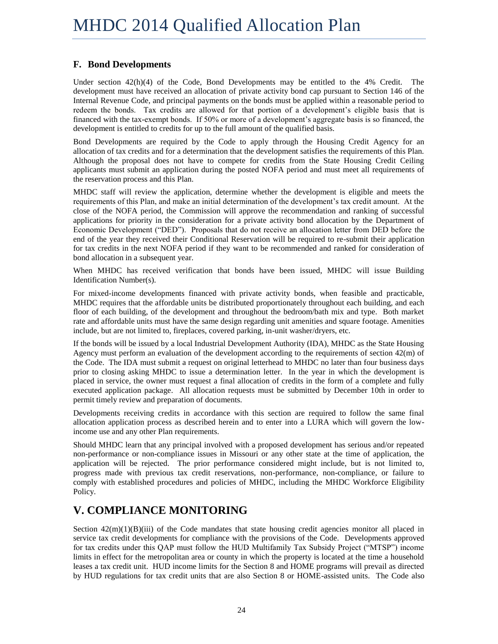# <span id="page-25-0"></span>**F. Bond Developments**

Under section 42(h)(4) of the Code, Bond Developments may be entitled to the 4% Credit. The development must have received an allocation of private activity bond cap pursuant to Section 146 of the Internal Revenue Code, and principal payments on the bonds must be applied within a reasonable period to redeem the bonds. Tax credits are allowed for that portion of a development's eligible basis that is financed with the tax-exempt bonds. If 50% or more of a development's aggregate basis is so financed, the development is entitled to credits for up to the full amount of the qualified basis.

Bond Developments are required by the Code to apply through the Housing Credit Agency for an allocation of tax credits and for a determination that the development satisfies the requirements of this Plan. Although the proposal does not have to compete for credits from the State Housing Credit Ceiling applicants must submit an application during the posted NOFA period and must meet all requirements of the reservation process and this Plan.

MHDC staff will review the application, determine whether the development is eligible and meets the requirements of this Plan, and make an initial determination of the development's tax credit amount. At the close of the NOFA period, the Commission will approve the recommendation and ranking of successful applications for priority in the consideration for a private activity bond allocation by the Department of Economic Development ("DED"). Proposals that do not receive an allocation letter from DED before the end of the year they received their Conditional Reservation will be required to re-submit their application for tax credits in the next NOFA period if they want to be recommended and ranked for consideration of bond allocation in a subsequent year.

When MHDC has received verification that bonds have been issued, MHDC will issue Building Identification Number(s).

For mixed-income developments financed with private activity bonds, when feasible and practicable, MHDC requires that the affordable units be distributed proportionately throughout each building, and each floor of each building, of the development and throughout the bedroom/bath mix and type. Both market rate and affordable units must have the same design regarding unit amenities and square footage. Amenities include, but are not limited to, fireplaces, covered parking, in-unit washer/dryers, etc.

If the bonds will be issued by a local Industrial Development Authority (IDA), MHDC as the State Housing Agency must perform an evaluation of the development according to the requirements of section 42(m) of the Code. The IDA must submit a request on original letterhead to MHDC no later than four business days prior to closing asking MHDC to issue a determination letter. In the year in which the development is placed in service, the owner must request a final allocation of credits in the form of a complete and fully executed application package. All allocation requests must be submitted by December 10th in order to permit timely review and preparation of documents.

Developments receiving credits in accordance with this section are required to follow the same final allocation application process as described herein and to enter into a LURA which will govern the lowincome use and any other Plan requirements.

Should MHDC learn that any principal involved with a proposed development has serious and/or repeated non-performance or non-compliance issues in Missouri or any other state at the time of application, the application will be rejected. The prior performance considered might include, but is not limited to, progress made with previous tax credit reservations, non-performance, non-compliance, or failure to comply with established procedures and policies of MHDC, including the MHDC Workforce Eligibility Policy.

# <span id="page-25-1"></span>**V. COMPLIANCE MONITORING**

Section  $42(m)(1)(B)(iii)$  of the Code mandates that state housing credit agencies monitor all placed in service tax credit developments for compliance with the provisions of the Code. Developments approved for tax credits under this QAP must follow the HUD Multifamily Tax Subsidy Project ("MTSP") income limits in effect for the metropolitan area or county in which the property is located at the time a household leases a tax credit unit. HUD income limits for the Section 8 and HOME programs will prevail as directed by HUD regulations for tax credit units that are also Section 8 or HOME-assisted units. The Code also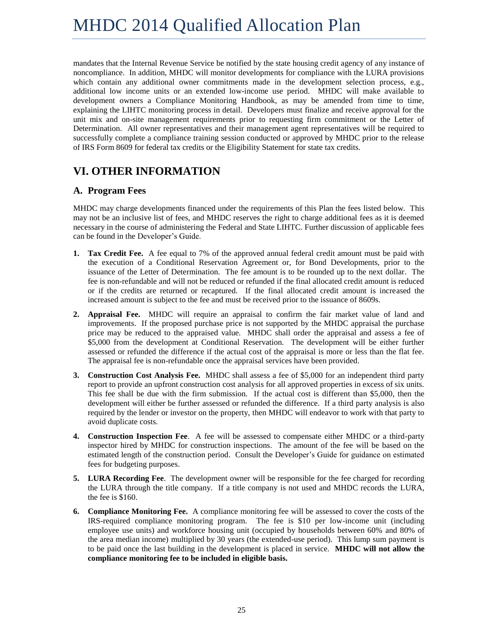mandates that the Internal Revenue Service be notified by the state housing credit agency of any instance of noncompliance. In addition, MHDC will monitor developments for compliance with the LURA provisions which contain any additional owner commitments made in the development selection process, e.g., additional low income units or an extended low-income use period. MHDC will make available to development owners a Compliance Monitoring Handbook, as may be amended from time to time, explaining the LIHTC monitoring process in detail. Developers must finalize and receive approval for the unit mix and on-site management requirements prior to requesting firm commitment or the Letter of Determination. All owner representatives and their management agent representatives will be required to successfully complete a compliance training session conducted or approved by MHDC prior to the release of IRS Form 8609 for federal tax credits or the Eligibility Statement for state tax credits.

# <span id="page-26-0"></span>**VI. OTHER INFORMATION**

# <span id="page-26-1"></span>**A. Program Fees**

MHDC may charge developments financed under the requirements of this Plan the fees listed below. This may not be an inclusive list of fees, and MHDC reserves the right to charge additional fees as it is deemed necessary in the course of administering the Federal and State LIHTC. Further discussion of applicable fees can be found in the Developer's Guide.

- **1. Tax Credit Fee.** A fee equal to 7% of the approved annual federal credit amount must be paid with the execution of a Conditional Reservation Agreement or, for Bond Developments, prior to the issuance of the Letter of Determination. The fee amount is to be rounded up to the next dollar. The fee is non-refundable and will not be reduced or refunded if the final allocated credit amount is reduced or if the credits are returned or recaptured. If the final allocated credit amount is increased the increased amount is subject to the fee and must be received prior to the issuance of 8609s.
- **2. Appraisal Fee.** MHDC will require an appraisal to confirm the fair market value of land and improvements. If the proposed purchase price is not supported by the MHDC appraisal the purchase price may be reduced to the appraised value. MHDC shall order the appraisal and assess a fee of \$5,000 from the development at Conditional Reservation. The development will be either further assessed or refunded the difference if the actual cost of the appraisal is more or less than the flat fee. The appraisal fee is non-refundable once the appraisal services have been provided.
- **3. Construction Cost Analysis Fee.** MHDC shall assess a fee of \$5,000 for an independent third party report to provide an upfront construction cost analysis for all approved properties in excess of six units. This fee shall be due with the firm submission. If the actual cost is different than \$5,000, then the development will either be further assessed or refunded the difference. If a third party analysis is also required by the lender or investor on the property, then MHDC will endeavor to work with that party to avoid duplicate costs.
- **4. Construction Inspection Fee**. A fee will be assessed to compensate either MHDC or a third-party inspector hired by MHDC for construction inspections. The amount of the fee will be based on the estimated length of the construction period. Consult the Developer's Guide for guidance on estimated fees for budgeting purposes.
- **5. LURA Recording Fee**. The development owner will be responsible for the fee charged for recording the LURA through the title company. If a title company is not used and MHDC records the LURA, the fee is \$160.
- **6. Compliance Monitoring Fee.** A compliance monitoring fee will be assessed to cover the costs of the IRS-required compliance monitoring program. The fee is \$10 per low-income unit (including employee use units) and workforce housing unit (occupied by households between 60% and 80% of the area median income) multiplied by 30 years (the extended-use period). This lump sum payment is to be paid once the last building in the development is placed in service. **MHDC will not allow the compliance monitoring fee to be included in eligible basis.**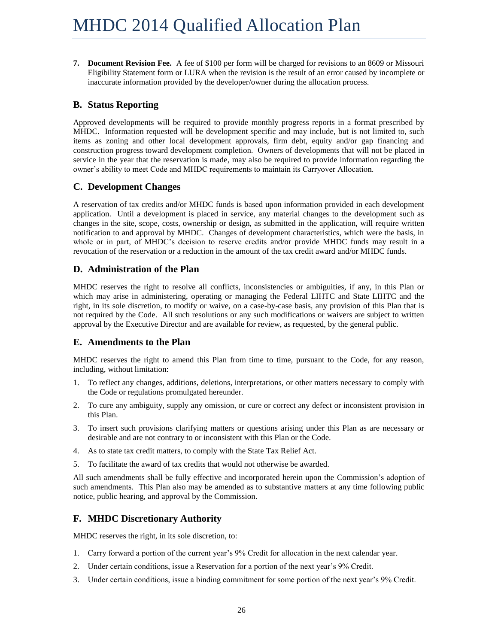**7. Document Revision Fee.** A fee of \$100 per form will be charged for revisions to an 8609 or Missouri Eligibility Statement form or LURA when the revision is the result of an error caused by incomplete or inaccurate information provided by the developer/owner during the allocation process.

## <span id="page-27-0"></span>**B. Status Reporting**

Approved developments will be required to provide monthly progress reports in a format prescribed by MHDC. Information requested will be development specific and may include, but is not limited to, such items as zoning and other local development approvals, firm debt, equity and/or gap financing and construction progress toward development completion. Owners of developments that will not be placed in service in the year that the reservation is made, may also be required to provide information regarding the owner's ability to meet Code and MHDC requirements to maintain its Carryover Allocation.

## <span id="page-27-1"></span>**C. Development Changes**

A reservation of tax credits and/or MHDC funds is based upon information provided in each development application. Until a development is placed in service, any material changes to the development such as changes in the site, scope, costs, ownership or design, as submitted in the application, will require written notification to and approval by MHDC. Changes of development characteristics, which were the basis, in whole or in part, of MHDC's decision to reserve credits and/or provide MHDC funds may result in a revocation of the reservation or a reduction in the amount of the tax credit award and/or MHDC funds.

## <span id="page-27-2"></span>**D. Administration of the Plan**

MHDC reserves the right to resolve all conflicts, inconsistencies or ambiguities, if any, in this Plan or which may arise in administering, operating or managing the Federal LIHTC and State LIHTC and the right, in its sole discretion, to modify or waive, on a case-by-case basis, any provision of this Plan that is not required by the Code. All such resolutions or any such modifications or waivers are subject to written approval by the Executive Director and are available for review, as requested, by the general public.

## <span id="page-27-3"></span>**E. Amendments to the Plan**

MHDC reserves the right to amend this Plan from time to time, pursuant to the Code, for any reason, including, without limitation:

- 1. To reflect any changes, additions, deletions, interpretations, or other matters necessary to comply with the Code or regulations promulgated hereunder.
- 2. To cure any ambiguity, supply any omission, or cure or correct any defect or inconsistent provision in this Plan.
- 3. To insert such provisions clarifying matters or questions arising under this Plan as are necessary or desirable and are not contrary to or inconsistent with this Plan or the Code.
- 4. As to state tax credit matters, to comply with the State Tax Relief Act.
- 5. To facilitate the award of tax credits that would not otherwise be awarded.

All such amendments shall be fully effective and incorporated herein upon the Commission's adoption of such amendments. This Plan also may be amended as to substantive matters at any time following public notice, public hearing, and approval by the Commission.

## <span id="page-27-4"></span>**F. MHDC Discretionary Authority**

MHDC reserves the right, in its sole discretion, to:

- 1. Carry forward a portion of the current year's 9% Credit for allocation in the next calendar year.
- 2. Under certain conditions, issue a Reservation for a portion of the next year's 9% Credit.
- 3. Under certain conditions, issue a binding commitment for some portion of the next year's 9% Credit.